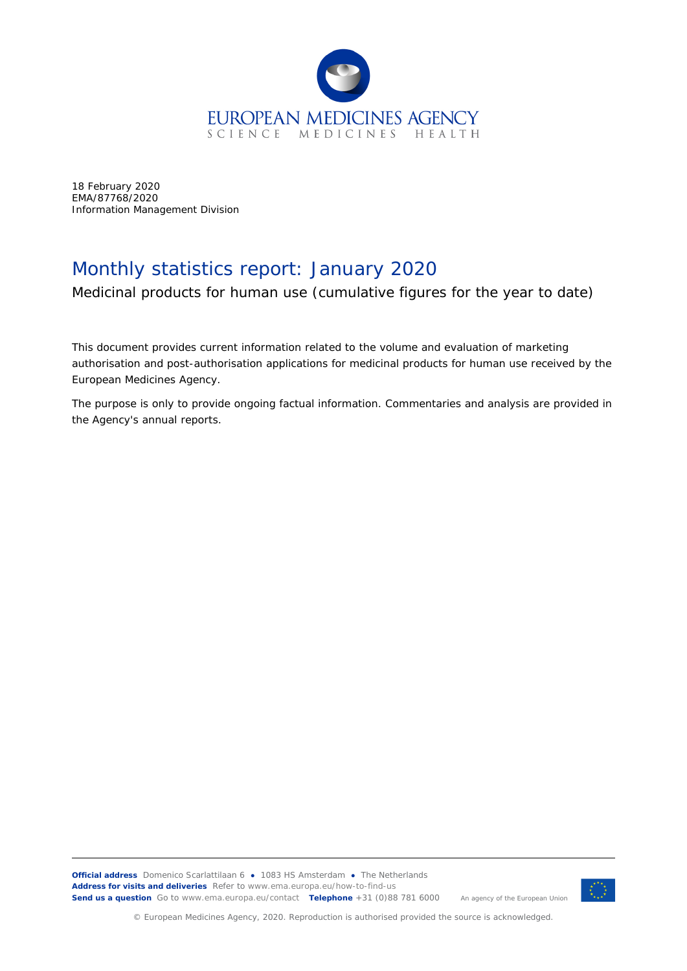

18 February 2020 EMA/87768/2020 Information Management Division

## Monthly statistics report: January 2020

Medicinal products for human use (cumulative figures for the year to date)

This document provides current information related to the volume and evaluation of marketing authorisation and post-authorisation applications for medicinal products for human use received by the European Medicines Agency.

The purpose is only to provide ongoing factual information. Commentaries and analysis are provided in the Agency's annual reports.



© European Medicines Agency, 2020. Reproduction is authorised provided the source is acknowledged.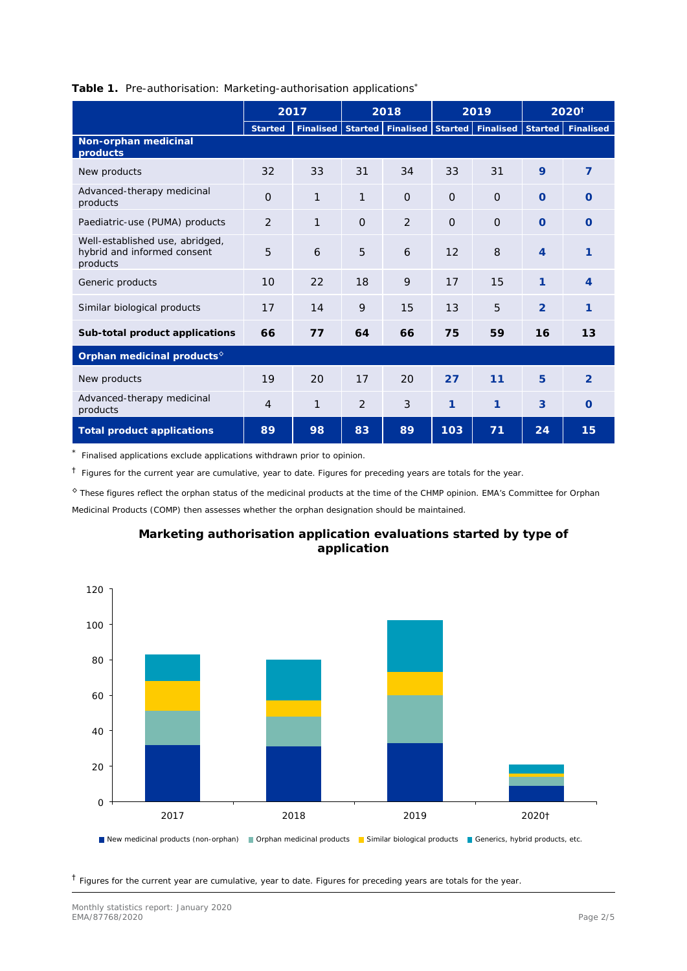|                                                                            | 2017           |              |                                                     | 2018     | 2019     |          | 2020 <sup>†</sup> |                |
|----------------------------------------------------------------------------|----------------|--------------|-----------------------------------------------------|----------|----------|----------|-------------------|----------------|
|                                                                            | <b>Started</b> | Finalised    | Started   Finalised   Started   Finalised   Started |          |          |          |                   | Finalised      |
| Non-orphan medicinal<br>products                                           |                |              |                                                     |          |          |          |                   |                |
| New products                                                               | 32             | 33           | 31                                                  | 34       | 33       | 31       | 9                 | 7              |
| Advanced-therapy medicinal<br>products                                     | $\Omega$       | $\mathbf{1}$ | 1                                                   | $\Omega$ | $\Omega$ | $\Omega$ | $\Omega$          | $\Omega$       |
| Paediatric-use (PUMA) products                                             | 2              | $\mathbf{1}$ | $\Omega$                                            | 2        | $\Omega$ | $\Omega$ | $\Omega$          | $\Omega$       |
| Well-established use, abridged,<br>hybrid and informed consent<br>products | 5              | 6            | 5                                                   | 6        | 12       | 8        | $\overline{4}$    | 1              |
| Generic products                                                           | 10             | 22           | 18                                                  | 9        | 17       | 15       | 1                 | $\overline{4}$ |
| Similar biological products                                                | 17             | 14           | 9                                                   | 15       | 13       | 5        | $\overline{2}$    | 1              |
| Sub-total product applications                                             | 66             | 77           | 64                                                  | 66       | 75       | 59       | 16                | 13             |
| Orphan medicinal products <sup>6</sup>                                     |                |              |                                                     |          |          |          |                   |                |
| New products                                                               | 19             | 20           | 17                                                  | 20       | 27       | 11       | 5                 | $\mathcal{P}$  |
| Advanced-therapy medicinal<br>products                                     | 4              | 1            | 2                                                   | 3        | 1        | 1        | 3                 | $\Omega$       |
| Total product applications                                                 | 89             | 98           | 83                                                  | 89       | 103      | 71       | 24                | 15             |

## **Table 1.** Pre-authorisation: Marketing-authorisation applications\*

Finalised applications exclude applications withdrawn prior to opinion.

 $<sup>†</sup>$  Figures for the current year are cumulative, year to date. Figures for preceding years are totals for the year.</sup>

◊ These figures reflect the orphan status of the medicinal products at the time of the CHMP opinion. EMA's Committee for Orphan Medicinal Products (COMP) then assesses whether the orphan designation should be maintained.



## **Marketing authorisation application evaluations started by type of application**

 $<sup>†</sup>$  Figures for the current year are cumulative, year to date. Figures for preceding years are totals for the year.</sup>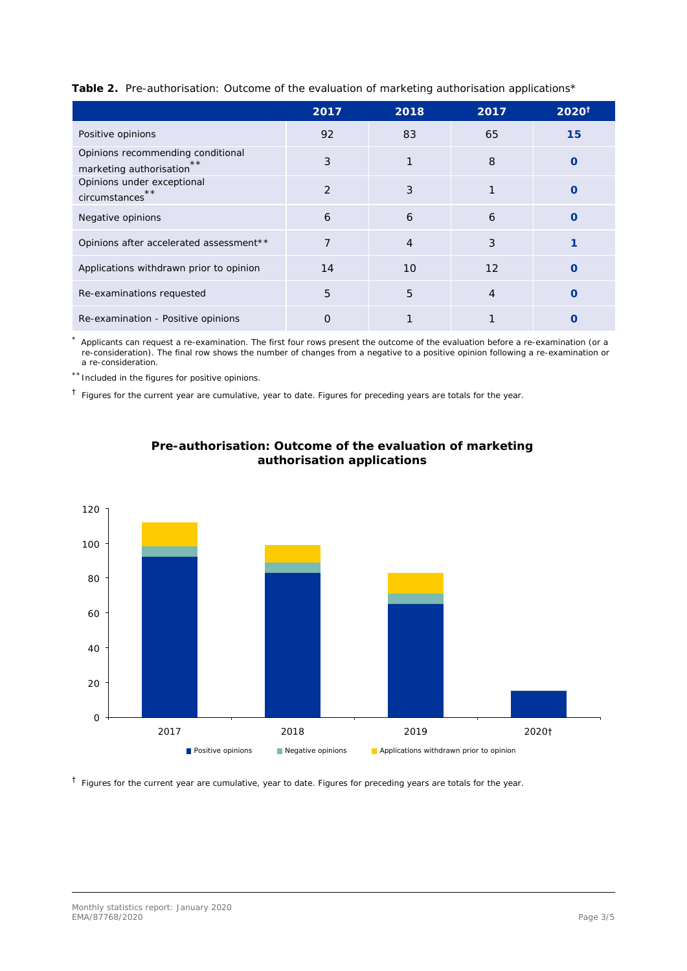| Table 2. Pre-authorisation: Outcome of the evaluation of marketing authorisation applications* |  |  |  |
|------------------------------------------------------------------------------------------------|--|--|--|
|                                                                                                |  |  |  |
|                                                                                                |  |  |  |

|                                                                    | 2017          | 2018           | 2017           | $2020^{\dagger}$ |
|--------------------------------------------------------------------|---------------|----------------|----------------|------------------|
| Positive opinions                                                  | 92            | 83             | 65             | 15               |
| Opinions recommending conditional<br>**<br>marketing authorisation | 3             | $\mathbf{1}$   | 8              | O                |
| Opinions under exceptional<br>**<br>circumstances                  | $\mathcal{P}$ | 3              |                | Ω                |
| Negative opinions                                                  | 6             | 6              | 6              | Ω                |
| Opinions after accelerated assessment**                            | 7             | $\overline{4}$ | 3              |                  |
| Applications withdrawn prior to opinion                            | 14            | 10             | 12             |                  |
| Re-examinations requested                                          | 5             | 5              | $\overline{4}$ | Ω                |
| Re-examination - Positive opinions                                 | O             |                |                |                  |

Applicants can request a re-examination. The first four rows present the outcome of the evaluation before a re-examination (or a re-consideration). The final row shows the number of changes from a negative to a positive opinion following a re-examination or a re-consideration.

\*\* Included in the figures for positive opinions.

 $<sup>†</sup>$  Figures for the current year are cumulative, year to date. Figures for preceding years are totals for the year.</sup>





 $<sup>†</sup>$  Figures for the current year are cumulative, year to date. Figures for preceding years are totals for the year.</sup>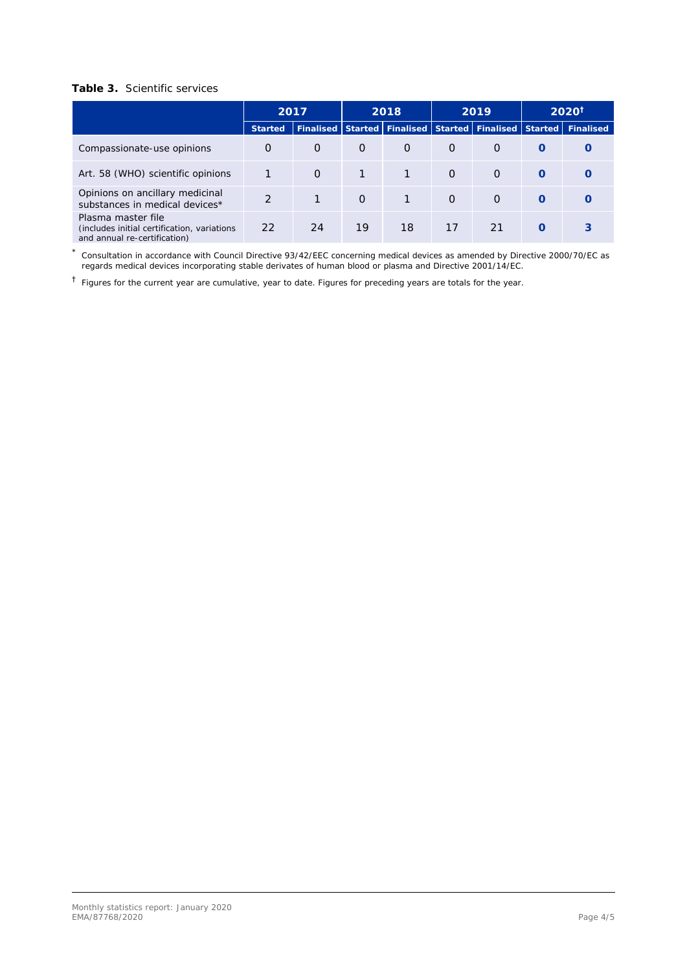## **Table 3.** Scientific services

|                                                                                                    | 2017          |                             | 2018     |          | 2019     |                     | $2020^{\dagger}$ |                   |  |
|----------------------------------------------------------------------------------------------------|---------------|-----------------------------|----------|----------|----------|---------------------|------------------|-------------------|--|
|                                                                                                    | Started       | Finalised Started Finalised |          |          |          | Started   Finalised |                  | Started Finalised |  |
| Compassionate-use opinions                                                                         | $\Omega$      | $\Omega$                    | $\Omega$ | $\Omega$ | $\Omega$ | $\Omega$            | $\Omega$         |                   |  |
| Art. 58 (WHO) scientific opinions                                                                  |               | $\Omega$                    | 1        |          | $\Omega$ | $\Omega$            | $\Omega$         |                   |  |
| Opinions on ancillary medicinal<br>substances in medical devices*                                  | $\mathcal{D}$ |                             | $\Omega$ | 1        | $\Omega$ | $\Omega$            | $\Omega$         |                   |  |
| Plasma master file<br>(includes initial certification, variations)<br>and annual re-certification) | 22            | 24                          | 19       | 18       | 17       | 21                  | $\Omega$         | 3                 |  |

\* Consultation in accordance with Council Directive 93/42/EEC concerning medical devices as amended by Directive 2000/70/EC as regards medical devices incorporating stable derivates of human blood or plasma and Directive 2001/14/EC.

† Figures for the current year are cumulative, year to date. Figures for preceding years are totals for the year.